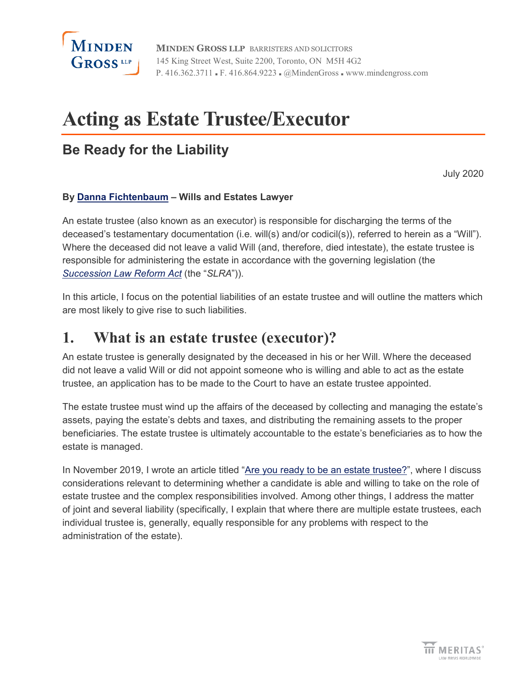

**MINDEN GROSS LLP** BARRISTERS AND SOLICITORS 145 King Street West, Suite 2200, Toronto, ON M5H 4G2 P. 416.362.3711 • F. 416.864.9223 • @MindenGross • www.mindengross.com

# **Acting as Estate Trustee/Executor**

#### **Be Ready for the Liability**

July 2020

#### **By [Danna Fichtenbaum](https://www.mindengross.com/our-people/details/danna-fichtenbaum) – Wills and Estates Lawyer**

An estate trustee (also known as an executor) is responsible for discharging the terms of the deceased's testamentary documentation (i.e. will(s) and/or codicil(s)), referred to herein as a "Will"). Where the deceased did not leave a valid Will (and, therefore, died intestate), the estate trustee is responsible for administering the estate in accordance with the governing legislation (the *[Succession Law Reform Act](https://www.ontario.ca/laws/statute/90s26)* (the "*SLRA*")).

In this article, I focus on the potential liabilities of an estate trustee and will outline the matters which are most likely to give rise to such liabilities.

#### **1. What is an estate trustee (executor)?**

An estate trustee is generally designated by the deceased in his or her Will. Where the deceased did not leave a valid Will or did not appoint someone who is willing and able to act as the estate trustee, an application has to be made to the Court to have an estate trustee appointed.

The estate trustee must wind up the affairs of the deceased by collecting and managing the estate's assets, paying the estate's debts and taxes, and distributing the remaining assets to the proper beneficiaries. The estate trustee is ultimately accountable to the estate's beneficiaries as to how the estate is managed.

In November 2019, I wrote an article titled ["Are you ready to be an estate trustee?"](https://www.mindengross.com/docs/default-source/publications/make-a-will-month-are-you-ready-to-be-an-estate-trustee), where I discuss considerations relevant to determining whether a candidate is able and willing to take on the role of estate trustee and the complex responsibilities involved. Among other things, I address the matter of joint and several liability (specifically, I explain that where there are multiple estate trustees, each individual trustee is, generally, equally responsible for any problems with respect to the administration of the estate).

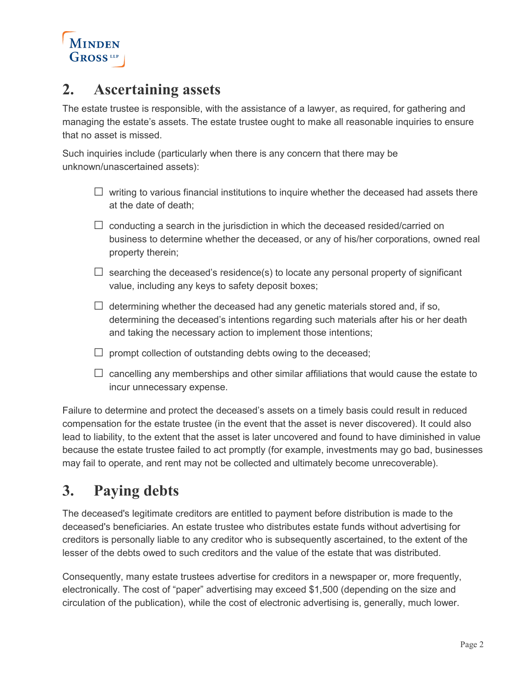

#### **2. Ascertaining assets**

The estate trustee is responsible, with the assistance of a lawyer, as required, for gathering and managing the estate's assets. The estate trustee ought to make all reasonable inquiries to ensure that no asset is missed.

Such inquiries include (particularly when there is any concern that there may be unknown/unascertained assets):

- $\Box$  writing to various financial institutions to inquire whether the deceased had assets there at the date of death;
- $\square$  conducting a search in the jurisdiction in which the deceased resided/carried on business to determine whether the deceased, or any of his/her corporations, owned real property therein;
- $\square$  searching the deceased's residence(s) to locate any personal property of significant value, including any keys to safety deposit boxes;
- $\Box$  determining whether the deceased had any genetic materials stored and, if so, determining the deceased's intentions regarding such materials after his or her death and taking the necessary action to implement those intentions;
- $\square$  prompt collection of outstanding debts owing to the deceased;
- $\square$  cancelling any memberships and other similar affiliations that would cause the estate to incur unnecessary expense.

Failure to determine and protect the deceased's assets on a timely basis could result in reduced compensation for the estate trustee (in the event that the asset is never discovered). It could also lead to liability, to the extent that the asset is later uncovered and found to have diminished in value because the estate trustee failed to act promptly (for example, investments may go bad, businesses may fail to operate, and rent may not be collected and ultimately become unrecoverable).

# **3. Paying debts**

The deceased's legitimate creditors are entitled to payment before distribution is made to the deceased's beneficiaries. An estate trustee who distributes estate funds without advertising for creditors is personally liable to any creditor who is subsequently ascertained, to the extent of the lesser of the debts owed to such creditors and the value of the estate that was distributed.

Consequently, many estate trustees advertise for creditors in a newspaper or, more frequently, electronically. The cost of "paper" advertising may exceed \$1,500 (depending on the size and circulation of the publication), while the cost of electronic advertising is, generally, much lower.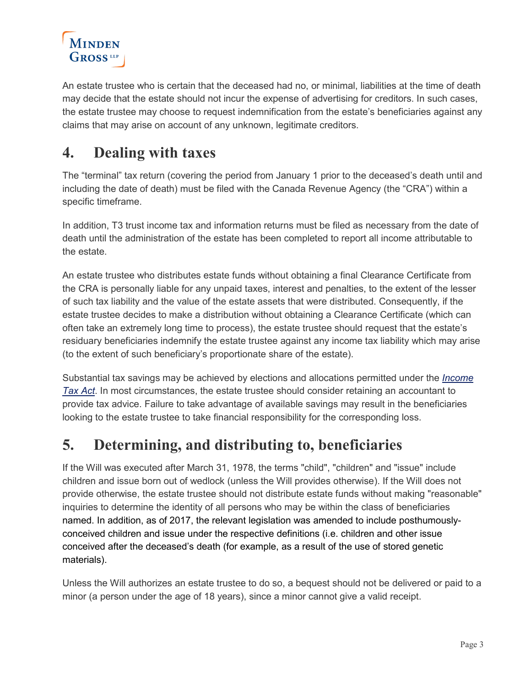

An estate trustee who is certain that the deceased had no, or minimal, liabilities at the time of death may decide that the estate should not incur the expense of advertising for creditors. In such cases, the estate trustee may choose to request indemnification from the estate's beneficiaries against any claims that may arise on account of any unknown, legitimate creditors.

# **4. Dealing with taxes**

The "terminal" tax return (covering the period from January 1 prior to the deceased's death until and including the date of death) must be filed with the Canada Revenue Agency (the "CRA") within a specific timeframe.

In addition, T3 trust income tax and information returns must be filed as necessary from the date of death until the administration of the estate has been completed to report all income attributable to the estate.

An estate trustee who distributes estate funds without obtaining a final Clearance Certificate from the CRA is personally liable for any unpaid taxes, interest and penalties, to the extent of the lesser of such tax liability and the value of the estate assets that were distributed. Consequently, if the estate trustee decides to make a distribution without obtaining a Clearance Certificate (which can often take an extremely long time to process), the estate trustee should request that the estate's residuary beneficiaries indemnify the estate trustee against any income tax liability which may arise (to the extent of such beneficiary's proportionate share of the estate).

Substantial tax savings may be achieved by elections and allocations permitted under the *[Income](https://laws-lois.justice.gc.ca/eNg/acts/I-3.3/)  [Tax Act](https://laws-lois.justice.gc.ca/eNg/acts/I-3.3/)*. In most circumstances, the estate trustee should consider retaining an accountant to provide tax advice. Failure to take advantage of available savings may result in the beneficiaries looking to the estate trustee to take financial responsibility for the corresponding loss.

# **5. Determining, and distributing to, beneficiaries**

If the Will was executed after March 31, 1978, the terms "child", "children" and "issue" include children and issue born out of wedlock (unless the Will provides otherwise). If the Will does not provide otherwise, the estate trustee should not distribute estate funds without making "reasonable" inquiries to determine the identity of all persons who may be within the class of beneficiaries named. In addition, as of 2017, the relevant legislation was amended to include posthumouslyconceived children and issue under the respective definitions (i.e. children and other issue conceived after the deceased's death (for example, as a result of the use of stored genetic materials).

Unless the Will authorizes an estate trustee to do so, a bequest should not be delivered or paid to a minor (a person under the age of 18 years), since a minor cannot give a valid receipt.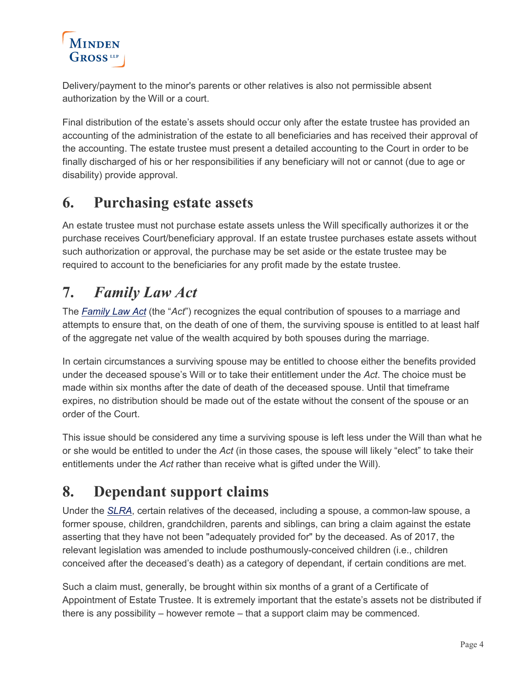# **MINDEN GROSS** LLP

Delivery/payment to the minor's parents or other relatives is also not permissible absent authorization by the Will or a court.

Final distribution of the estate's assets should occur only after the estate trustee has provided an accounting of the administration of the estate to all beneficiaries and has received their approval of the accounting. The estate trustee must present a detailed accounting to the Court in order to be finally discharged of his or her responsibilities if any beneficiary will not or cannot (due to age or disability) provide approval.

# **6. Purchasing estate assets**

An estate trustee must not purchase estate assets unless the Will specifically authorizes it or the purchase receives Court/beneficiary approval. If an estate trustee purchases estate assets without such authorization or approval, the purchase may be set aside or the estate trustee may be required to account to the beneficiaries for any profit made by the estate trustee.

# **7.** *Family Law Act*

The *[Family Law Act](https://www.ontario.ca/laws/statute/90f03)* (the "*Act*") recognizes the equal contribution of spouses to a marriage and attempts to ensure that, on the death of one of them, the surviving spouse is entitled to at least half of the aggregate net value of the wealth acquired by both spouses during the marriage.

In certain circumstances a surviving spouse may be entitled to choose either the benefits provided under the deceased spouse's Will or to take their entitlement under the *Act*. The choice must be made within six months after the date of death of the deceased spouse. Until that timeframe expires, no distribution should be made out of the estate without the consent of the spouse or an order of the Court.

This issue should be considered any time a surviving spouse is left less under the Will than what he or she would be entitled to under the *Act* (in those cases, the spouse will likely "elect" to take their entitlements under the *Act* rather than receive what is gifted under the Will).

# **8. Dependant support claims**

Under the *[SLRA](https://www.ontario.ca/laws/statute/90s26)*, certain relatives of the deceased, including a spouse, a common-law spouse, a former spouse, children, grandchildren, parents and siblings, can bring a claim against the estate asserting that they have not been "adequately provided for" by the deceased. As of 2017, the relevant legislation was amended to include posthumously-conceived children (i.e., children conceived after the deceased's death) as a category of dependant, if certain conditions are met.

Such a claim must, generally, be brought within six months of a grant of a Certificate of Appointment of Estate Trustee. It is extremely important that the estate's assets not be distributed if there is any possibility – however remote – that a support claim may be commenced.